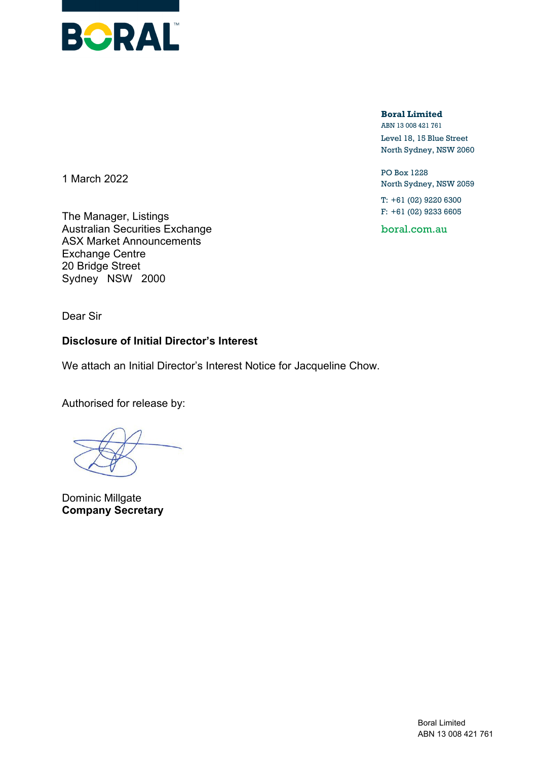

**Boral Limited** ABN 13 008 421 761

Level 18, 15 Blue Street North Sydney, NSW 2060

PO Box 1228 North Sydney, NSW 2059

T: +61 (02) 9220 6300 F: +61 (02) 9233 6605

boral.com.au

1 March 2022

The Manager, Listings Australian Securities Exchange ASX Market Announcements Exchange Centre 20 Bridge Street Sydney NSW 2000

Dear Sir

# **Disclosure of Initial Director's Interest**

We attach an Initial Director's Interest Notice for Jacqueline Chow.

Authorised for release by:

Dominic Millgate **Company Secretary**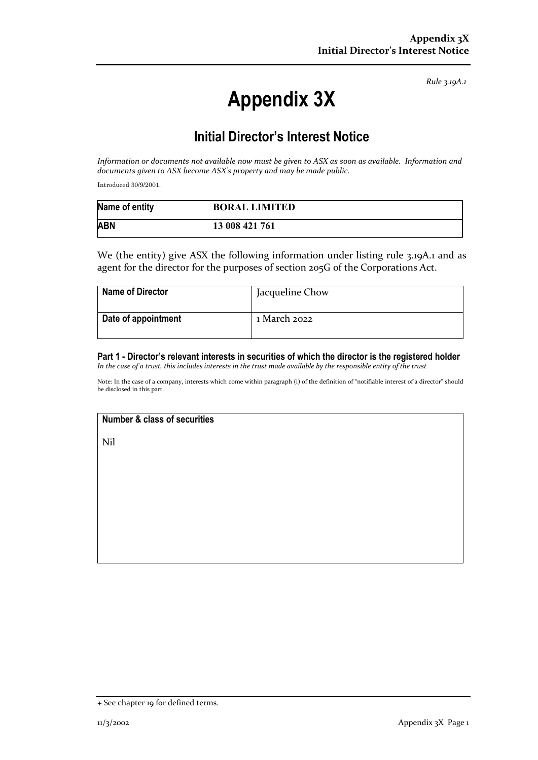*Rule 3.19A.1*

# **Appendix 3X**

# **Initial Director's Interest Notice**

*Information or documents not available now must be given to ASX as soon as available. Information and documents given to ASX become ASX's property and may be made public.*

Introduced 30/9/2001.

| Name of entity | <b>BORAL LIMITED</b> |
|----------------|----------------------|
| <b>ABN</b>     | 13 008 421 761       |

We (the entity) give ASX the following information under listing rule 3.19A.1 and as agent for the director for the purposes of section 205G of the Corporations Act.

| <b>Name of Director</b> | Jacqueline Chow |
|-------------------------|-----------------|
| Date of appointment     | 1 March 2022    |

#### **Part 1 - Director's relevant interests in securities of which the director is the registered holder** *In the case of a trust, this includes interests in the trust made available by the responsible entity of the trust*

Note: In the case of a company, interests which come within paragraph (i) of the definition of "notifiable interest of a director" should be disclosed in this part.

# **Number & class of securities**

Nil

<sup>+</sup> See chapter 19 for defined terms.